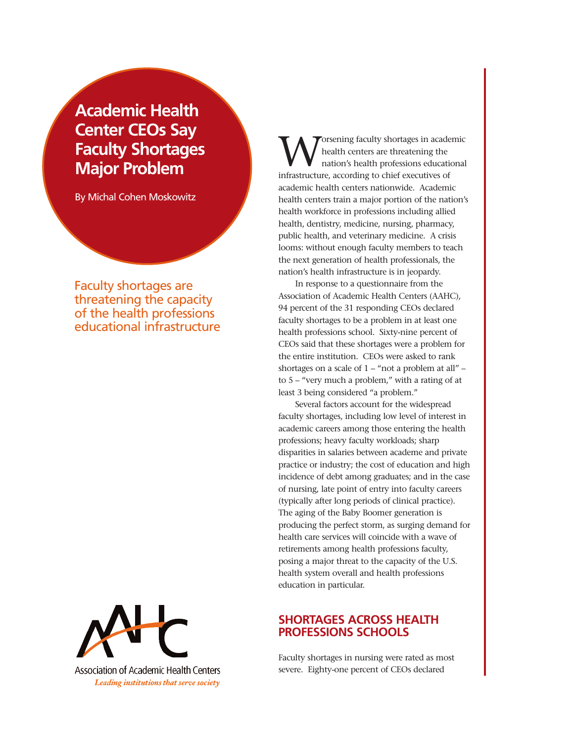# **Academic Health Center CEOs Say Faculty Shortages Major Problem**

By Michal Cohen Moskowitz

Faculty shortages are threatening the capacity of the health professions educational infrastructure



Association of Academic Health Centers Leading institutions that serve society

orsening faculty shortages in academic health centers are threatening the nation's health professions educational infrastructure, according to chief executives of academic health centers nationwide. Academic health centers train a major portion of the nation's health workforce in professions including allied health, dentistry, medicine, nursing, pharmacy, public health, and veterinary medicine. A crisis looms: without enough faculty members to teach the next generation of health professionals, the nation's health infrastructure is in jeopardy.

In response to a questionnaire from the Association of Academic Health Centers (AAHC), 94 percent of the 31 responding CEOs declared faculty shortages to be a problem in at least one health professions school. Sixty-nine percent of CEOs said that these shortages were a problem for the entire institution. CEOs were asked to rank shortages on a scale of  $1 -$  "not a problem at all" – to 5 – "very much a problem," with a rating of at least 3 being considered "a problem."

Several factors account for the widespread faculty shortages, including low level of interest in academic careers among those entering the health professions; heavy faculty workloads; sharp disparities in salaries between academe and private practice or industry; the cost of education and high incidence of debt among graduates; and in the case of nursing, late point of entry into faculty careers (typically after long periods of clinical practice). The aging of the Baby Boomer generation is producing the perfect storm, as surging demand for health care services will coincide with a wave of retirements among health professions faculty, posing a major threat to the capacity of the U.S. health system overall and health professions education in particular.

## **SHORTAGES ACROSS HEALTH PROFESSIONS SCHOOLS**

Faculty shortages in nursing were rated as most severe. Eighty-one percent of CEOs declared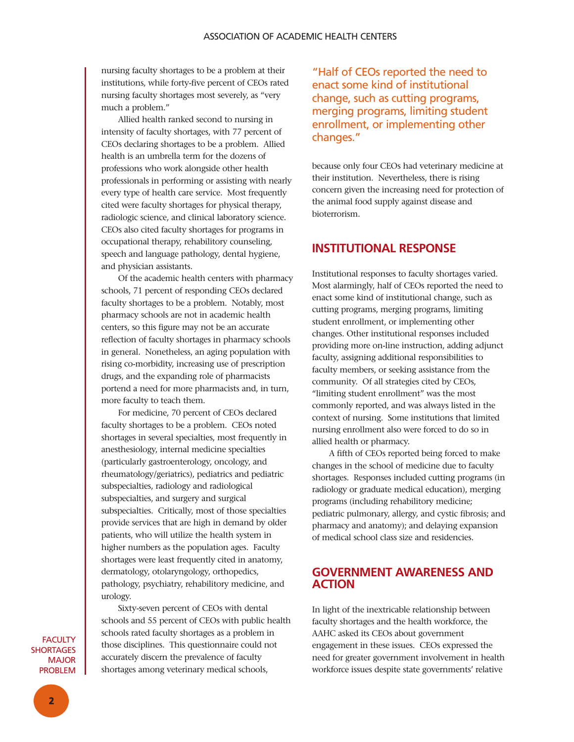nursing faculty shortages to be a problem at their institutions, while forty-five percent of CEOs rated nursing faculty shortages most severely, as "very much a problem."

Allied health ranked second to nursing in intensity of faculty shortages, with 77 percent of CEOs declaring shortages to be a problem. Allied health is an umbrella term for the dozens of professions who work alongside other health professionals in performing or assisting with nearly every type of health care service. Most frequently cited were faculty shortages for physical therapy, radiologic science, and clinical laboratory science. CEOs also cited faculty shortages for programs in occupational therapy, rehabilitory counseling, speech and language pathology, dental hygiene, and physician assistants.

Of the academic health centers with pharmacy schools, 71 percent of responding CEOs declared faculty shortages to be a problem. Notably, most pharmacy schools are not in academic health centers, so this figure may not be an accurate reflection of faculty shortages in pharmacy schools in general. Nonetheless, an aging population with rising co-morbidity, increasing use of prescription drugs, and the expanding role of pharmacists portend a need for more pharmacists and, in turn, more faculty to teach them.

For medicine, 70 percent of CEOs declared faculty shortages to be a problem. CEOs noted shortages in several specialties, most frequently in anesthesiology, internal medicine specialties (particularly gastroenterology, oncology, and rheumatology/geriatrics), pediatrics and pediatric subspecialties, radiology and radiological subspecialties, and surgery and surgical subspecialties. Critically, most of those specialties provide services that are high in demand by older patients, who will utilize the health system in higher numbers as the population ages. Faculty shortages were least frequently cited in anatomy, dermatology, otolaryngology, orthopedics, pathology, psychiatry, rehabilitory medicine, and urology.

Sixty-seven percent of CEOs with dental schools and 55 percent of CEOs with public health schools rated faculty shortages as a problem in those disciplines. This questionnaire could not accurately discern the prevalence of faculty shortages among veterinary medical schools,

"Half of CEOs reported the need to enact some kind of institutional change, such as cutting programs, merging programs, limiting student enrollment, or implementing other changes."

because only four CEOs had veterinary medicine at their institution. Nevertheless, there is rising concern given the increasing need for protection of the animal food supply against disease and bioterrorism.

## **INSTITUTIONAL RESPONSE**

Institutional responses to faculty shortages varied. Most alarmingly, half of CEOs reported the need to enact some kind of institutional change, such as cutting programs, merging programs, limiting student enrollment, or implementing other changes. Other institutional responses included providing more on-line instruction, adding adjunct faculty, assigning additional responsibilities to faculty members, or seeking assistance from the community. Of all strategies cited by CEOs, "limiting student enrollment" was the most commonly reported, and was always listed in the context of nursing. Some institutions that limited nursing enrollment also were forced to do so in allied health or pharmacy.

A fifth of CEOs reported being forced to make changes in the school of medicine due to faculty shortages. Responses included cutting programs (in radiology or graduate medical education), merging programs (including rehabilitory medicine; pediatric pulmonary, allergy, and cystic fibrosis; and pharmacy and anatomy); and delaying expansion of medical school class size and residencies.

## **GOVERNMENT AWARENESS AND ACTION**

In light of the inextricable relationship between faculty shortages and the health workforce, the AAHC asked its CEOs about government engagement in these issues. CEOs expressed the need for greater government involvement in health workforce issues despite state governments' relative

**FACULTY SHORTAGES** MAJOR PROBLEM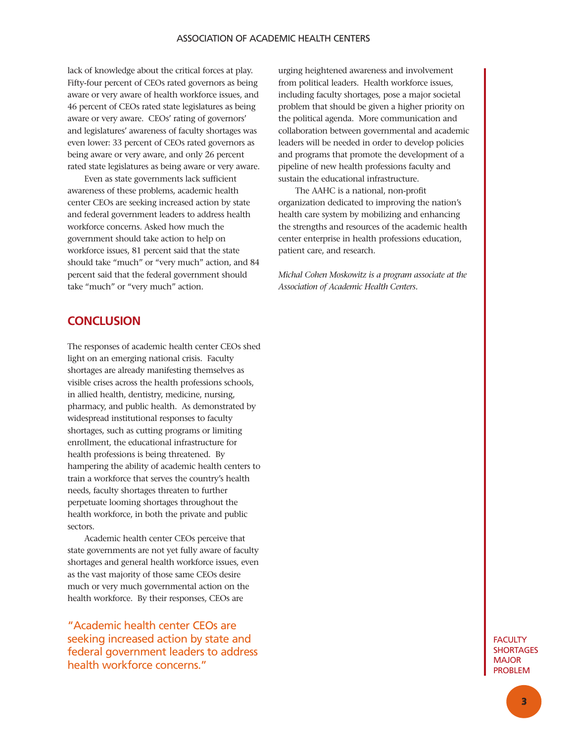### ASSOCIATION OF ACADEMIC HEALTH CENTERS

lack of knowledge about the critical forces at play. Fifty-four percent of CEOs rated governors as being aware or very aware of health workforce issues, and 46 percent of CEOs rated state legislatures as being aware or very aware. CEOs' rating of governors' and legislatures' awareness of faculty shortages was even lower: 33 percent of CEOs rated governors as being aware or very aware, and only 26 percent rated state legislatures as being aware or very aware.

Even as state governments lack sufficient awareness of these problems, academic health center CEOs are seeking increased action by state and federal government leaders to address health workforce concerns. Asked how much the government should take action to help on workforce issues, 81 percent said that the state should take "much" or "very much" action, and 84 percent said that the federal government should take "much" or "very much" action.

**CONCLUSION**

The responses of academic health center CEOs shed light on an emerging national crisis. Faculty shortages are already manifesting themselves as visible crises across the health professions schools, in allied health, dentistry, medicine, nursing, pharmacy, and public health. As demonstrated by widespread institutional responses to faculty shortages, such as cutting programs or limiting enrollment, the educational infrastructure for health professions is being threatened. By hampering the ability of academic health centers to train a workforce that serves the country's health needs, faculty shortages threaten to further perpetuate looming shortages throughout the health workforce, in both the private and public sectors.

Academic health center CEOs perceive that state governments are not yet fully aware of faculty shortages and general health workforce issues, even as the vast majority of those same CEOs desire much or very much governmental action on the health workforce. By their responses, CEOs are

"Academic health center CEOs are seeking increased action by state and federal government leaders to address health workforce concerns."

urging heightened awareness and involvement from political leaders. Health workforce issues, including faculty shortages, pose a major societal problem that should be given a higher priority on the political agenda. More communication and collaboration between governmental and academic leaders will be needed in order to develop policies and programs that promote the development of a pipeline of new health professions faculty and sustain the educational infrastructure.

The AAHC is a national, non-profit organization dedicated to improving the nation's health care system by mobilizing and enhancing the strengths and resources of the academic health center enterprise in health professions education, patient care, and research.

*Michal Cohen Moskowitz is a program associate at the Association of Academic Health Centers.*

> **FACULTY SHORTAGES** MAJOR PROBLEM